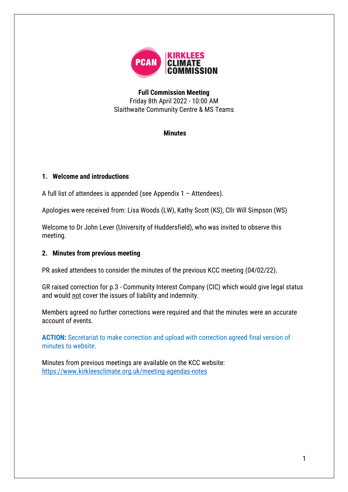

**Full Commission Meeting** Friday 8th April 2022 - 10:00 AM Slaithwaite Community Centre & MS Teams

#### **Minutes**

#### **1. Welcome and introductions**

A full list of attendees is appended (see Appendix 1 – [Attendees\)](#page-10-0).

Apologies were received from: Lisa Woods (LW), Kathy Scott (KS), Cllr Will Simpson (WS)

Welcome to Dr John Lever (University of Huddersfield), who was invited to observe this meeting.

#### **2. Minutes from previous meeting**

PR asked attendees to consider the minutes of the previous KCC meeting (04/02/22).

GR raised correction for p.3 - Community Interest Company (CIC) which would give legal status and would not cover the issues of liability and indemnity.

Members agreed no further corrections were required and that the minutes were an accurate account of events.

**ACTION:** Secretariat to make correction and upload with correction agreed final version of minutes to website.

Minutes from previous meetings are available on the KCC website: <https://www.kirkleesclimate.org.uk/meeting-agendas-notes>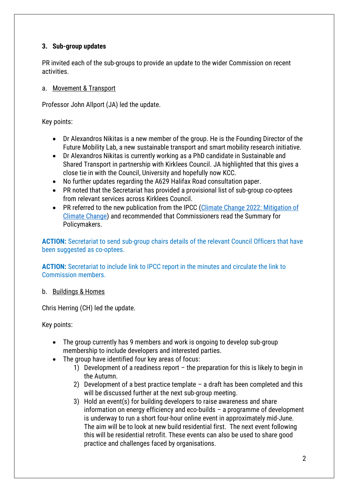## **3. Sub-group updates**

PR invited each of the sub-groups to provide an update to the wider Commission on recent activities.

#### a. Movement & Transport

Professor John Allport (JA) led the update.

Key points:

- Dr Alexandros Nikitas is a new member of the group. He is the Founding Director of the Future Mobility Lab, a new sustainable transport and smart mobility research initiative.
- Dr Alexandros Nikitas is currently working as a PhD candidate in Sustainable and Shared Transport in partnership with Kirklees Council. JA highlighted that this gives a close tie in with the Council, University and hopefully now KCC.
- No further updates regarding the A629 Halifax Road consultation paper.
- PR noted that the Secretariat has provided a provisional list of sub-group co-optees from relevant services across Kirklees Council.
- PR referred to the new publication from the IPCC (Climate Change 2022: Mitigation of [Climate Change\)](https://www.ipcc.ch/report/ar6/wg3/) and recommended that Commissioners read the Summary for Policymakers.

**ACTION:** Secretariat to send sub-group chairs details of the relevant Council Officers that have been suggested as co-optees.

**ACTION:** Secretariat to include link to IPCC report in the minutes and circulate the link to Commission members.

#### b. Buildings & Homes

Chris Herring (CH) led the update.

- The group currently has 9 members and work is ongoing to develop sub-group membership to include developers and interested parties.
- The group have identified four key areas of focus:
	- 1) Development of a readiness report the preparation for this is likely to begin in the Autumn.
	- 2) Development of a best practice template a draft has been completed and this will be discussed further at the next sub-group meeting.
	- 3) Hold an event(s) for building developers to raise awareness and share information on energy efficiency and eco-builds – a programme of development is underway to run a short four-hour online event in approximately mid-June. The aim will be to look at new build residential first. The next event following this will be residential retrofit. These events can also be used to share good practice and challenges faced by organisations.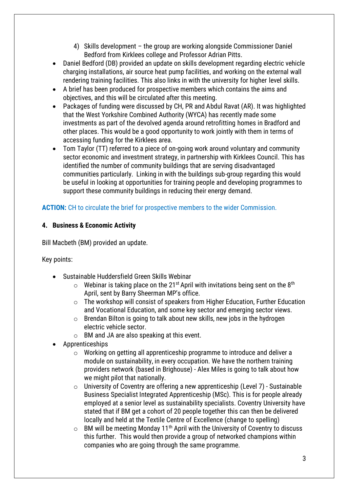- 4) Skills development the group are working alongside Commissioner Daniel Bedford from Kirklees college and Professor Adrian Pitts.
- Daniel Bedford (DB) provided an update on skills development regarding electric vehicle charging installations, air source heat pump facilities, and working on the external wall rendering training facilities. This also links in with the university for higher level skills.
- A brief has been produced for prospective members which contains the aims and objectives, and this will be circulated after this meeting.
- Packages of funding were discussed by CH, PR and Abdul Ravat (AR). It was highlighted that the West Yorkshire Combined Authority (WYCA) has recently made some investments as part of the devolved agenda around retrofitting homes in Bradford and other places. This would be a good opportunity to work jointly with them in terms of accessing funding for the Kirklees area.
- Tom Taylor (TT) referred to a piece of on-going work around voluntary and community sector economic and investment strategy, in partnership with Kirklees Council. This has identified the number of community buildings that are serving disadvantaged communities particularly. Linking in with the buildings sub-group regarding this would be useful in looking at opportunities for training people and developing programmes to support these community buildings in reducing their energy demand.

## **ACTION:** CH to circulate the brief for prospective members to the wider Commission.

#### **4. Business & Economic Activity**

Bill Macbeth (BM) provided an update.

- Sustainable Huddersfield Green Skills Webinar
	- $\circ$  Webinar is taking place on the 21<sup>st</sup> April with invitations being sent on the 8<sup>th</sup> April, sent by Barry Sheerman MP's office.
	- o The workshop will consist of speakers from Higher Education, Further Education and Vocational Education, and some key sector and emerging sector views.
	- $\circ$  Brendan Bilton is going to talk about new skills, new jobs in the hydrogen electric vehicle sector.
	- $\circ$  BM and JA are also speaking at this event.
- Apprenticeships
	- o Working on getting all apprenticeship programme to introduce and deliver a module on sustainability, in every occupation. We have the northern training providers network (based in Brighouse) - Alex Miles is going to talk about how we might pilot that nationally.
	- o University of Coventry are offering a new apprenticeship (Level 7) Sustainable Business Specialist Integrated Apprenticeship (MSc). This is for people already employed at a senior level as sustainability specialists. Coventry University have stated that if BM get a cohort of 20 people together this can then be delivered locally and held at the Textile Centre of Excellence (change to spelling)
	- $\circ$  BM will be meeting Monday 11<sup>th</sup> April with the University of Coventry to discuss this further. This would then provide a group of networked champions within companies who are going through the same programme.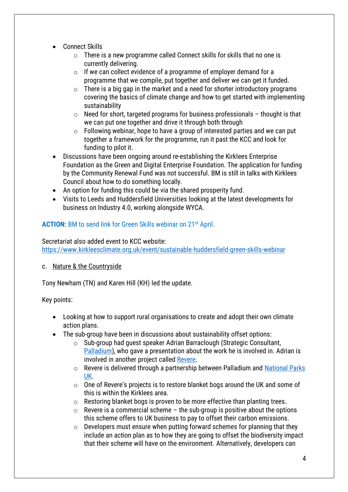- Connect Skills
	- o There is a new programme called Connect skills for skills that no one is currently delivering.
	- $\circ$  If we can collect evidence of a programme of employer demand for a programme that we compile, put together and deliver we can get it funded.
	- $\circ$  There is a big gap in the market and a need for shorter introductory programs covering the basics of climate change and how to get started with implementing sustainability
	- $\circ$  Need for short, targeted programs for business professionals thought is that we can put one together and drive it through both through
	- $\circ$  Following webinar, hope to have a group of interested parties and we can put together a framework for the programme, run it past the KCC and look for funding to pilot it.
- Discussions have been ongoing around re-establishing the Kirklees Enterprise Foundation as the Green and Digital Enterprise Foundation. The application for funding by the Community Renewal Fund was not successful. BM is still in talks with Kirklees Council about how to do something locally.
- An option for funding this could be via the shared prosperity fund.
- Visits to Leeds and Huddersfield Universities looking at the latest developments for business on Industry 4.0, working alongside WYCA.

## **ACTION:** BM to send link for Green Skills webinar on 21st April.

#### Secretariat also added event to KCC website:

<https://www.kirkleesclimate.org.uk/event/sustainable-huddersfield-green-skills-webinar>

#### c. Nature & the Countryside

Tony Newham (TN) and Karen Hill (KH) led the update.

- Looking at how to support rural organisations to create and adopt their own climate action plans.
- The sub-group have been in discussions about sustainability offset options:
	- o Sub-group had guest speaker Adrian Barraclough (Strategic Consultant, [Palladium\)](https://thepalladiumgroup.com/), who gave a presentation about the work he is involved in. Adrian is involved in another project called [Revere.](https://revere.eco/)
	- o Revere is delivered through a partnership between Palladium and [National Parks](https://www.nationalparks.uk/) [UK.](https://www.nationalparks.uk/)
	- o One of Revere's projects is to restore blanket bogs around the UK and some of this is within the Kirklees area.
	- $\circ$  Restoring blanket bogs is proven to be more effective than planting trees.
	- $\circ$  Revere is a commercial scheme the sub-group is positive about the options this scheme offers to UK business to pay to offset their carbon emissions.
	- $\circ$  Developers must ensure when putting forward schemes for planning that they include an action plan as to how they are going to offset the biodiversity impact that their scheme will have on the environment. Alternatively, developers can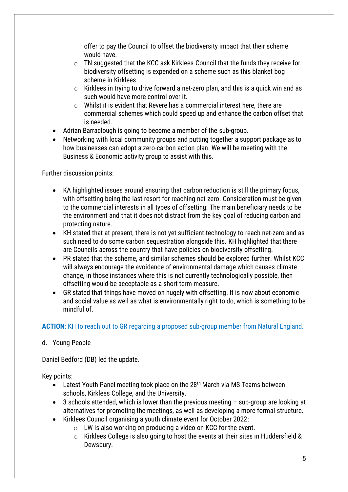offer to pay the Council to offset the biodiversity impact that their scheme would have.

- o TN suggested that the KCC ask Kirklees Council that the funds they receive for biodiversity offsetting is expended on a scheme such as this blanket bog scheme in Kirklees.
- o Kirklees in trying to drive forward a net-zero plan, and this is a quick win and as such would have more control over it.
- o Whilst it is evident that Revere has a commercial interest here, there are commercial schemes which could speed up and enhance the carbon offset that is needed.
- Adrian Barraclough is going to become a member of the sub-group.
- Networking with local community groups and putting together a support package as to how businesses can adopt a zero-carbon action plan. We will be meeting with the Business & Economic activity group to assist with this.

Further discussion points:

- KA highlighted issues around ensuring that carbon reduction is still the primary focus, with offsetting being the last resort for reaching net zero. Consideration must be given to the commercial interests in all types of offsetting. The main beneficiary needs to be the environment and that it does not distract from the key goal of reducing carbon and protecting nature.
- KH stated that at present, there is not yet sufficient technology to reach net-zero and as such need to do some carbon sequestration alongside this. KH highlighted that there are Councils across the country that have policies on biodiversity offsetting.
- PR stated that the scheme, and similar schemes should be explored further. Whilst KCC will always encourage the avoidance of environmental damage which causes climate change, in those instances where this is not currently technologically possible, then offsetting would be acceptable as a short term measure.
- GR stated that things have moved on hugely with offsetting. It is now about economic and social value as well as what is environmentally right to do, which is something to be mindful of.

## **ACTION**: KH to reach out to GR regarding a proposed sub-group member from Natural England.

#### d. Young People

Daniel Bedford (DB) led the update.

- Latest Youth Panel meeting took place on the 28<sup>th</sup> March via MS Teams between schools, Kirklees College, and the University.
- 3 schools attended, which is lower than the previous meeting sub-group are looking at alternatives for promoting the meetings, as well as developing a more formal structure.
- Kirklees Council organising a youth climate event for October 2022:
	- $\circ$  LW is also working on producing a video on KCC for the event.
	- o Kirklees College is also going to host the events at their sites in Huddersfield & Dewsbury.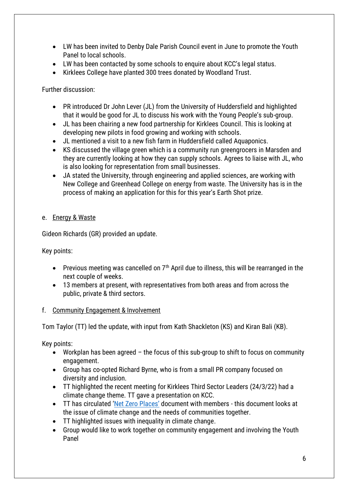- LW has been invited to Denby Dale Parish Council event in June to promote the Youth Panel to local schools.
- LW has been contacted by some schools to enquire about KCC's legal status.
- Kirklees College have planted 300 trees donated by Woodland Trust.

Further discussion:

- PR introduced Dr John Lever (JL) from the University of Huddersfield and highlighted that it would be good for JL to discuss his work with the Young People's sub-group.
- JL has been chairing a new food partnership for Kirklees Council. This is looking at developing new pilots in food growing and working with schools.
- JL mentioned a visit to a new fish farm in Huddersfield called Aquaponics.
- KS discussed the village green which is a community run greengrocers in Marsden and they are currently looking at how they can supply schools. Agrees to liaise with JL, who is also looking for representation from small businesses.
- JA stated the University, through engineering and applied sciences, are working with New College and Greenhead College on energy from waste. The University has is in the process of making an application for this for this year's Earth Shot prize.

#### e. Energy & Waste

Gideon Richards (GR) provided an update.

Key points:

- Previous meeting was cancelled on  $7<sup>th</sup>$  April due to illness, this will be rearranged in the next couple of weeks.
- 13 members at present, with representatives from both areas and from across the public, private & third sectors.

#### f. Community Engagement & Involvement

Tom Taylor (TT) led the update, with input from Kath Shackleton (KS) and Kiran Bali (KB).

- Workplan has been agreed the focus of this sub-group to shift to focus on community engagement.
- Group has co-opted Richard Byrne, who is from a small PR company focused on diversity and inclusion.
- TT highlighted the recent meeting for Kirklees Third Sector Leaders (24/3/22) had a climate change theme. TT gave a presentation on KCC.
- TT has circulated ['Net Zero Places'](https://www.ippr.org/research/publications/net-zero-places) document with members this document looks at the issue of climate change and the needs of communities together.
- TT highlighted issues with inequality in climate change.
- Group would like to work together on community engagement and involving the Youth Panel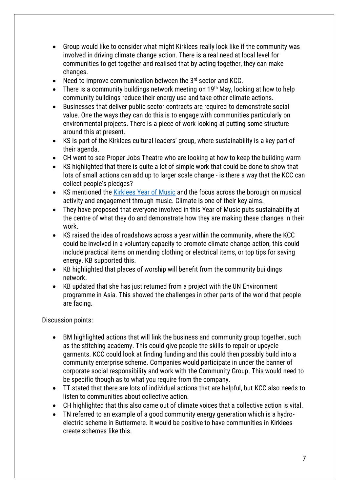- Group would like to consider what might Kirklees really look like if the community was involved in driving climate change action. There is a real need at local level for communities to get together and realised that by acting together, they can make changes.
- Need to improve communication between the 3<sup>rd</sup> sector and KCC.
- There is a community buildings network meeting on 19<sup>th</sup> May, looking at how to help community buildings reduce their energy use and take other climate actions.
- Businesses that deliver public sector contracts are required to demonstrate social value. One the ways they can do this is to engage with communities particularly on environmental projects. There is a piece of work looking at putting some structure around this at present.
- KS is part of the Kirklees cultural leaders' group, where sustainability is a key part of their agenda.
- CH went to see Proper Jobs Theatre who are looking at how to keep the building warm
- KS highlighted that there is quite a lot of simple work that could be done to show that lots of small actions can add up to larger scale change - is there a way that the KCC can collect people's pledges?
- KS mentioned the [Kirklees Year of Music](https://www.musicinkirklees.co.uk/) and the focus across the borough on musical activity and engagement through music. Climate is one of their key aims.
- They have proposed that everyone involved in this Year of Music puts sustainability at the centre of what they do and demonstrate how they are making these changes in their work.
- KS raised the idea of roadshows across a year within the community, where the KCC could be involved in a voluntary capacity to promote climate change action, this could include practical items on mending clothing or electrical items, or top tips for saving energy. KB supported this.
- KB highlighted that places of worship will benefit from the community buildings network.
- KB updated that she has just returned from a project with the UN Environment programme in Asia. This showed the challenges in other parts of the world that people are facing.

Discussion points:

- BM highlighted actions that will link the business and community group together, such as the stitching academy. This could give people the skills to repair or upcycle garments. KCC could look at finding funding and this could then possibly build into a community enterprise scheme. Companies would participate in under the banner of corporate social responsibility and work with the Community Group. This would need to be specific though as to what you require from the company.
- TT stated that there are lots of individual actions that are helpful, but KCC also needs to listen to communities about collective action.
- CH highlighted that this also came out of climate voices that a collective action is vital.
- TN referred to an example of a good community energy generation which is a hydroelectric scheme in Buttermere. It would be positive to have communities in Kirklees create schemes like this.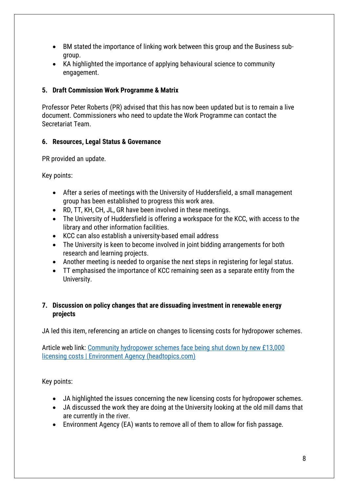- BM stated the importance of linking work between this group and the Business subgroup.
- KA highlighted the importance of applying behavioural science to community engagement.

#### **5. Draft Commission Work Programme & Matrix**

Professor Peter Roberts (PR) advised that this has now been updated but is to remain a live document. Commissioners who need to update the Work Programme can contact the Secretariat Team.

#### **6. Resources, Legal Status & Governance**

PR provided an update.

Key points:

- After a series of meetings with the University of Huddersfield, a small management group has been established to progress this work area.
- RD, TT, KH, CH, JL, GR have been involved in these meetings.
- The University of Huddersfield is offering a workspace for the KCC, with access to the library and other information facilities.
- KCC can also establish a university-based email address
- The University is keen to become involved in joint bidding arrangements for both research and learning projects.
- Another meeting is needed to organise the next steps in registering for legal status.
- TT emphasised the importance of KCC remaining seen as a separate entity from the University.

#### **7. Discussion on policy changes that are dissuading investment in renewable energy projects**

JA led this item, referencing an article on changes to licensing costs for hydropower schemes.

Article web link: [Community hydropower schemes face being shut down by new £13,000](https://headtopics.com/uk/community-hydropower-schemes-face-being-shut-down-by-new-13-000-licencing-costs-24722254)  [licensing costs | Environment Agency \(headtopics.com\)](https://headtopics.com/uk/community-hydropower-schemes-face-being-shut-down-by-new-13-000-licencing-costs-24722254)

- JA highlighted the issues concerning the new licensing costs for hydropower schemes.
- JA discussed the work they are doing at the University looking at the old mill dams that are currently in the river.
- Environment Agency (EA) wants to remove all of them to allow for fish passage.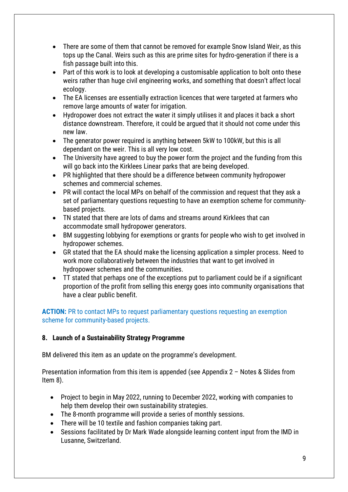- There are some of them that cannot be removed for example Snow Island Weir, as this tops up the Canal. Weirs such as this are prime sites for hydro-generation if there is a fish passage built into this.
- Part of this work is to look at developing a customisable application to bolt onto these weirs rather than huge civil engineering works, and something that doesn't affect local ecology.
- The EA licenses are essentially extraction licences that were targeted at farmers who remove large amounts of water for irrigation.
- Hydropower does not extract the water it simply utilises it and places it back a short distance downstream. Therefore, it could be argued that it should not come under this new law.
- The generator power required is anything between 5kW to 100kW, but this is all dependant on the weir. This is all very low cost.
- The University have agreed to buy the power form the project and the funding from this will go back into the Kirklees Linear parks that are being developed.
- PR highlighted that there should be a difference between community hydropower schemes and commercial schemes.
- PR will contact the local MPs on behalf of the commission and request that they ask a set of parliamentary questions requesting to have an exemption scheme for communitybased projects.
- TN stated that there are lots of dams and streams around Kirklees that can accommodate small hydropower generators.
- BM suggesting lobbying for exemptions or grants for people who wish to get involved in hydropower schemes.
- GR stated that the EA should make the licensing application a simpler process. Need to work more collaboratively between the industries that want to get involved in hydropower schemes and the communities.
- TT stated that perhaps one of the exceptions put to parliament could be if a significant proportion of the profit from selling this energy goes into community organisations that have a clear public benefit.

**ACTION:** PR to contact MPs to request parliamentary questions requesting an exemption scheme for community-based projects.

## **8. Launch of a Sustainability Strategy Programme**

BM delivered this item as an update on the programme's development.

Presentation information from this item is appended (see Appendix 2 – [Notes & Slides from](#page-11-0)  [Item 8\)](#page-11-0).

- Project to begin in May 2022, running to December 2022, working with companies to help them develop their own sustainability strategies.
- The 8-month programme will provide a series of monthly sessions.
- There will be 10 textile and fashion companies taking part.
- Sessions facilitated by Dr Mark Wade alongside learning content input from the IMD in Lusanne, Switzerland.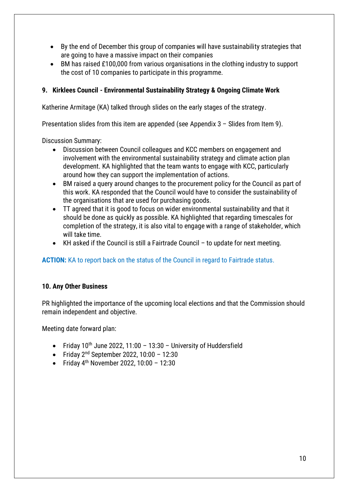- By the end of December this group of companies will have sustainability strategies that are going to have a massive impact on their companies
- BM has raised £100,000 from various organisations in the clothing industry to support the cost of 10 companies to participate in this programme.

#### **9. Kirklees Council - Environmental Sustainability Strategy & Ongoing Climate Work**

Katherine Armitage (KA) talked through slides on the early stages of the strategy.

Presentation slides from this item are appended (see Appendix 3 – Slides [from Item 9\)](#page-12-0).

Discussion Summary:

- Discussion between Council colleagues and KCC members on engagement and involvement with the environmental sustainability strategy and climate action plan development. KA highlighted that the team wants to engage with KCC, particularly around how they can support the implementation of actions.
- BM raised a query around changes to the procurement policy for the Council as part of this work. KA responded that the Council would have to consider the sustainability of the organisations that are used for purchasing goods.
- TT agreed that it is good to focus on wider environmental sustainability and that it should be done as quickly as possible. KA highlighted that regarding timescales for completion of the strategy, it is also vital to engage with a range of stakeholder, which will take time.
- KH asked if the Council is still a Fairtrade Council to update for next meeting.

## **ACTION:** KA to report back on the status of the Council in regard to Fairtrade status.

#### **10. Any Other Business**

PR highlighted the importance of the upcoming local elections and that the Commission should remain independent and objective.

Meeting date forward plan:

- Friday  $10^{th}$  June 2022, 11:00 13:30 University of Huddersfield
- Friday  $2^{nd}$  September 2022, 10:00 12:30
- Friday  $4^{th}$  November 2022, 10:00 12:30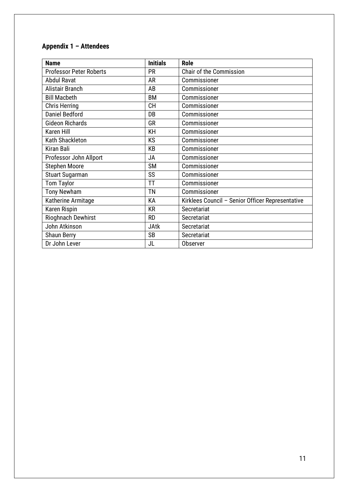# <span id="page-10-0"></span>**Appendix 1 – Attendees**

| <b>Name</b>                    | <b>Initials</b> | <b>Role</b>                                      |
|--------------------------------|-----------------|--------------------------------------------------|
| <b>Professor Peter Roberts</b> | <b>PR</b>       | <b>Chair of the Commission</b>                   |
| <b>Abdul Ravat</b>             | AR              | Commissioner                                     |
| Alistair Branch                | AB              | Commissioner                                     |
| <b>Bill Macbeth</b>            | <b>BM</b>       | Commissioner                                     |
| <b>Chris Herring</b>           | <b>CH</b>       | Commissioner                                     |
| <b>Daniel Bedford</b>          | DB              | Commissioner                                     |
| <b>Gideon Richards</b>         | GR              | Commissioner                                     |
| <b>Karen Hill</b>              | KH              | Commissioner                                     |
| Kath Shackleton                | KS              | Commissioner                                     |
| <b>Kiran Bali</b>              | KB              | Commissioner                                     |
| Professor John Allport         | JA              | Commissioner                                     |
| <b>Stephen Moore</b>           | <b>SM</b>       | Commissioner                                     |
| <b>Stuart Sugarman</b>         | SS              | Commissioner                                     |
| <b>Tom Taylor</b>              | TT              | Commissioner                                     |
| <b>Tony Newham</b>             | ΤN              | Commissioner                                     |
| Katherine Armitage             | KA              | Kirklees Council - Senior Officer Representative |
| Karen Rispin                   | <b>KR</b>       | Secretariat                                      |
| Rioghnach Dewhirst             | <b>RD</b>       | Secretariat                                      |
| John Atkinson                  | <b>JAtk</b>     | Secretariat                                      |
| <b>Shaun Berry</b>             | <b>SB</b>       | Secretariat                                      |
| Dr John Lever                  | JL              | Observer                                         |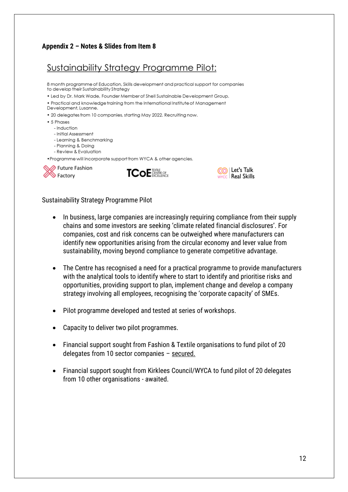#### <span id="page-11-0"></span>**Appendix 2 – Notes & Slides from Item 8**

# Sustainability Strategy Programme Pilot:

8 month programme of Education, Skills development and practical support for companies to develop their Sustainability Strateav

- . Led by Dr. Mark Wade, Founder Member of Shell Sustainable Development Group.
- . Practical and knowledge training from the International Institute of Management
- Development, Lusanne.
- . 20 delegates from 10 companies, starting May 2022. Recruiting now.
- 5 Phases
	- Induction
	- Initial Assessment
	- Learning & Benchmarking
	- Planning & Doing
	- Review & Evaluation

. Programme will incorporate support from WYCA & other agencies.







#### Sustainability Strategy Programme Pilot

- In business, large companies are increasingly requiring compliance from their supply chains and some investors are seeking 'climate related financial disclosures'. For companies, cost and risk concerns can be outweighed where manufacturers can identify new opportunities arising from the circular economy and lever value from sustainability, moving beyond compliance to generate competitive advantage.
- The Centre has recognised a need for a practical programme to provide manufacturers with the analytical tools to identify where to start to identify and prioritise risks and opportunities, providing support to plan, implement change and develop a company strategy involving all employees, recognising the 'corporate capacity' of SMEs.
- Pilot programme developed and tested at series of workshops.
- Capacity to deliver two pilot programmes.
- Financial support sought from Fashion & Textile organisations to fund pilot of 20 delegates from 10 sector companies – secured.
- Financial support sought from Kirklees Council/WYCA to fund pilot of 20 delegates from 10 other organisations - awaited.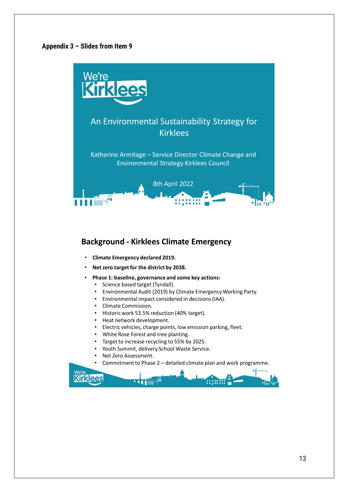#### <span id="page-12-0"></span>**Appendix 3 – Slides from Item 9**



#### **Background - Kirklees Climate Emergency**

- **Climate Emergency declared 2019.**
- **Net zero target for the district by 2038.**
- **Phase 1: baseline, governance and some key actions:**
	- Science based target (Tyndall).
	- Environmental Audit (2019) by Climate Emergency Working Party.
	- Environmental impact considered in decisions (IAA).
	- Climate Commission.
	- Historic work 53.5% reduction (40% target).
	- Heat network development.
	- Electric vehicles, charge points, low emission parking, fleet.
	- White Rose Forest and tree planting.
	- Target to increase recycling to 55% by 2025.
	- Youth Summit, delivery School Waste Service.
	- Net Zero Assessment.
	- Commitment to Phase 2 detailed climate plan and work programme.

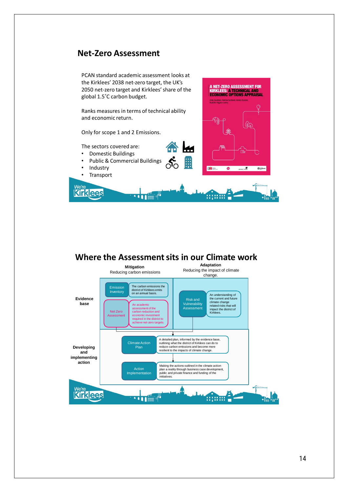## **Net-Zero Assessment**



## **Where the Assessment sits in our Climate work**

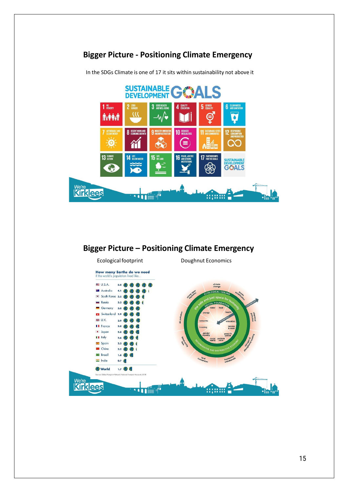

**Bigger Picture - Positioning Climate Emergency**

# **Bigger Picture – Positioning Climate Emergency**



In the SDGs Climate is one of 17 it sits within sustainability not above it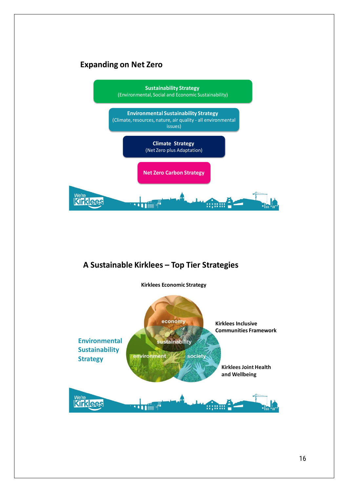# **Expanding on Net Zero**



## **A Sustainable Kirklees – Top Tier Strategies**